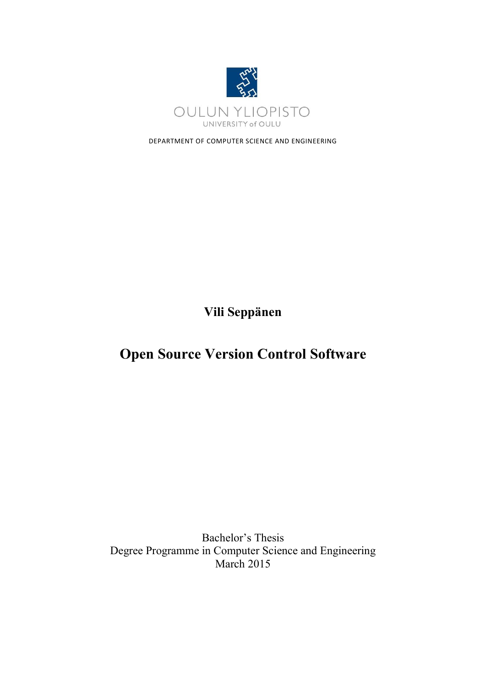

DEPARTMENT OF COMPUTER SCIENCE AND ENGINEERING

**Vili Seppänen**

# **Open Source Version Control Software**

Bachelor's Thesis Degree Programme in Computer Science and Engineering March 2015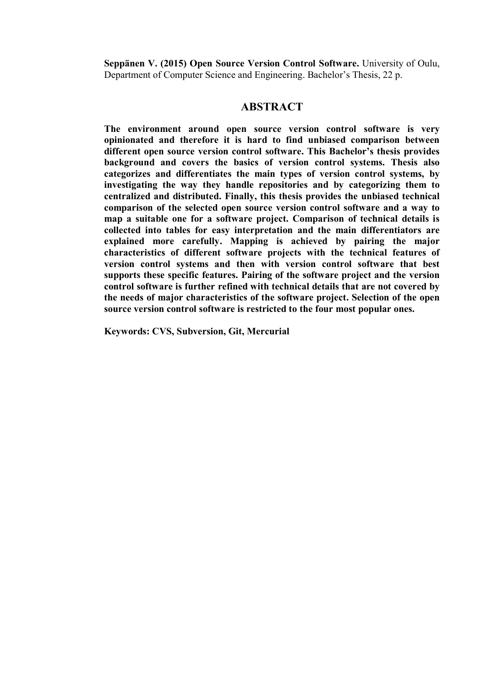**Seppänen V. (2015) Open Source Version Control Software.** University of Oulu, Department of Computer Science and Engineering. Bachelor's Thesis, 22 p.

## **ABSTRACT**

**The environment around open source version control software is very opinionated and therefore it is hard to find unbiased comparison between different open source version control software. This Bachelor's thesis provides background and covers the basics of version control systems. Thesis also categorizes and differentiates the main types of version control systems, by investigating the way they handle repositories and by categorizing them to centralized and distributed. Finally, this thesis provides the unbiased technical comparison of the selected open source version control software and a way to map a suitable one for a software project. Comparison of technical details is collected into tables for easy interpretation and the main differentiators are explained more carefully. Mapping is achieved by pairing the major characteristics of different software projects with the technical features of version control systems and then with version control software that best supports these specific features. Pairing of the software project and the version control software is further refined with technical details that are not covered by the needs of major characteristics of the software project. Selection of the open source version control software is restricted to the four most popular ones.**

**Keywords: CVS, Subversion, Git, Mercurial**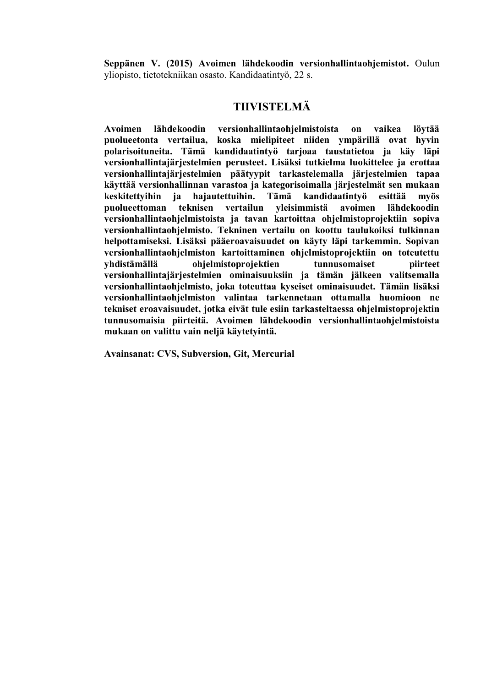**Seppänen V. (2015) Avoimen lähdekoodin versionhallintaohjemistot.** Oulun yliopisto, tietotekniikan osasto. Kandidaatintyö, 22 s.

## **TIIVISTELMÄ**

**Avoimen lähdekoodin versionhallintaohjelmistoista on vaikea löytää puolueetonta vertailua, koska mielipiteet niiden ympärillä ovat hyvin polarisoituneita. Tämä kandidaatintyö tarjoaa taustatietoa ja käy läpi versionhallintajärjestelmien perusteet. Lisäksi tutkielma luokittelee ja erottaa versionhallintajärjestelmien päätyypit tarkastelemalla järjestelmien tapaa käyttää versionhallinnan varastoa ja kategorisoimalla järjestelmät sen mukaan keskitettyihin ja hajautettuihin. Tämä kandidaatintyö esittää myös puolueettoman teknisen vertailun yleisimmistä avoimen lähdekoodin versionhallintaohjelmistoista ja tavan kartoittaa ohjelmistoprojektiin sopiva versionhallintaohjelmisto. Tekninen vertailu on koottu taulukoiksi tulkinnan helpottamiseksi. Lisäksi pääeroavaisuudet on käyty läpi tarkemmin. Sopivan versionhallintaohjelmiston kartoittaminen ohjelmistoprojektiin on toteutettu yhdistämällä ohjelmistoprojektien tunnusomaiset piirteet versionhallintajärjestelmien ominaisuuksiin ja tämän jälkeen valitsemalla versionhallintaohjelmisto, joka toteuttaa kyseiset ominaisuudet. Tämän lisäksi versionhallintaohjelmiston valintaa tarkennetaan ottamalla huomioon ne tekniset eroavaisuudet, jotka eivät tule esiin tarkasteltaessa ohjelmistoprojektin tunnusomaisia piirteitä. Avoimen lähdekoodin versionhallintaohjelmistoista mukaan on valittu vain neljä käytetyintä.**

**Avainsanat: CVS, Subversion, Git, Mercurial**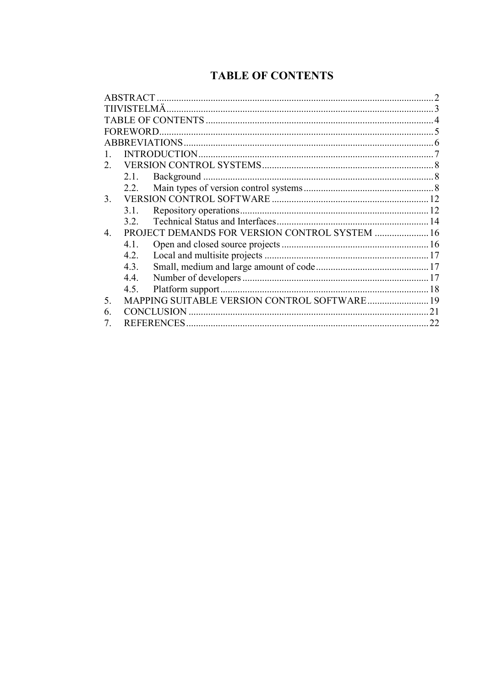## **TABLE OF CONTENTS**

|    | TIIVISTELMÄ.    |                                                |    |
|----|-----------------|------------------------------------------------|----|
|    |                 |                                                |    |
|    | <b>FOREWORD</b> |                                                |    |
|    |                 |                                                |    |
|    |                 |                                                |    |
| 2  |                 |                                                |    |
|    | 21              |                                                |    |
|    | 2.2.            |                                                |    |
| 3. |                 |                                                |    |
|    | 3.1.            |                                                |    |
|    | 32              |                                                |    |
| 4  |                 | PROJECT DEMANDS FOR VERSION CONTROL SYSTEM  16 |    |
|    | 4.1.            |                                                |    |
|    | 4.2.            |                                                |    |
|    | 4.3.            |                                                |    |
|    | 4.4.            |                                                |    |
|    | 4.5.            |                                                |    |
| 5. |                 | MAPPING SUITABLE VERSION CONTROL SOFTWARE 19   |    |
| 6  |                 | CONCLUSION                                     | 21 |
|    |                 |                                                | 22 |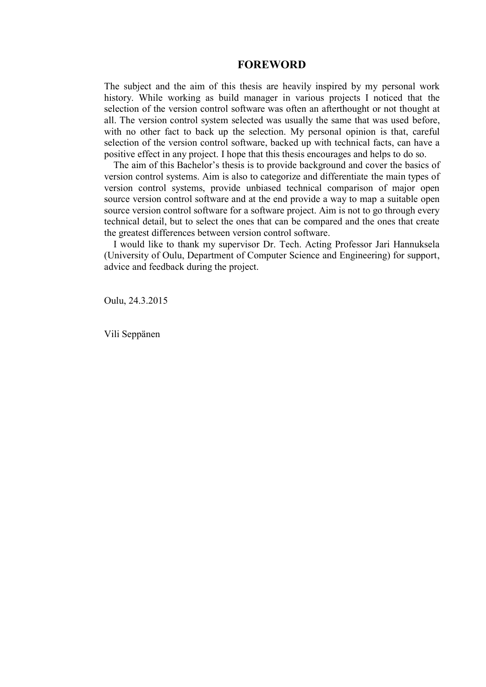### **FOREWORD**

The subject and the aim of this thesis are heavily inspired by my personal work history. While working as build manager in various projects I noticed that the selection of the version control software was often an afterthought or not thought at all. The version control system selected was usually the same that was used before, with no other fact to back up the selection. My personal opinion is that, careful selection of the version control software, backed up with technical facts, can have a positive effect in any project. I hope that this thesis encourages and helps to do so.

The aim of this Bachelor's thesis is to provide background and cover the basics of version control systems. Aim is also to categorize and differentiate the main types of version control systems, provide unbiased technical comparison of major open source version control software and at the end provide a way to map a suitable open source version control software for a software project. Aim is not to go through every technical detail, but to select the ones that can be compared and the ones that create the greatest differences between version control software.

I would like to thank my supervisor Dr. Tech. Acting Professor Jari Hannuksela (University of Oulu, Department of Computer Science and Engineering) for support, advice and feedback during the project.

Oulu, 24.3.2015

Vili Seppänen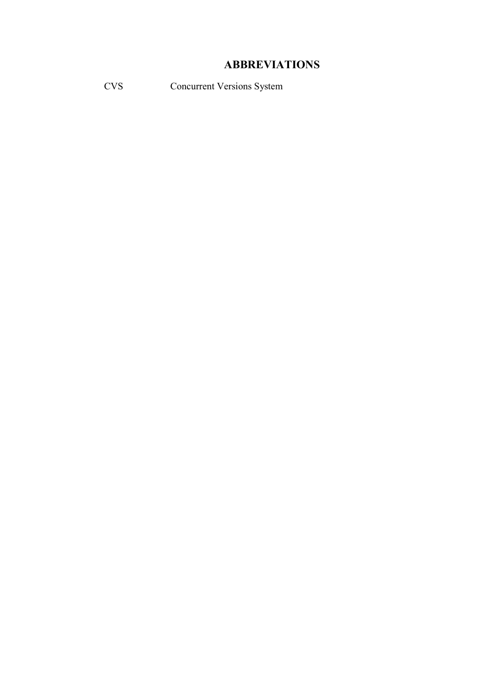## **ABBREVIATIONS**

CVS Concurrent Versions System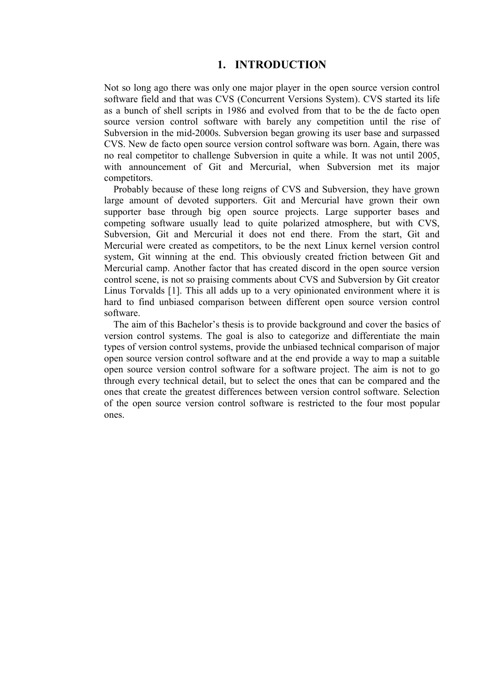## **1. INTRODUCTION**

Not so long ago there was only one major player in the open source version control software field and that was CVS (Concurrent Versions System). CVS started its life as a bunch of shell scripts in 1986 and evolved from that to be the de facto open source version control software with barely any competition until the rise of Subversion in the mid-2000s. Subversion began growing its user base and surpassed CVS. New de facto open source version control software was born. Again, there was no real competitor to challenge Subversion in quite a while. It was not until 2005, with announcement of Git and Mercurial, when Subversion met its major competitors.

Probably because of these long reigns of CVS and Subversion, they have grown large amount of devoted supporters. Git and Mercurial have grown their own supporter base through big open source projects. Large supporter bases and competing software usually lead to quite polarized atmosphere, but with CVS, Subversion, Git and Mercurial it does not end there. From the start, Git and Mercurial were created as competitors, to be the next Linux kernel version control system, Git winning at the end. This obviously created friction between Git and Mercurial camp. Another factor that has created discord in the open source version control scene, is not so praising comments about CVS and Subversion by Git creator Linus Torvalds [1]. This all adds up to a very opinionated environment where it is hard to find unbiased comparison between different open source version control software.

The aim of this Bachelor's thesis is to provide background and cover the basics of version control systems. The goal is also to categorize and differentiate the main types of version control systems, provide the unbiased technical comparison of major open source version control software and at the end provide a way to map a suitable open source version control software for a software project. The aim is not to go through every technical detail, but to select the ones that can be compared and the ones that create the greatest differences between version control software. Selection of the open source version control software is restricted to the four most popular ones.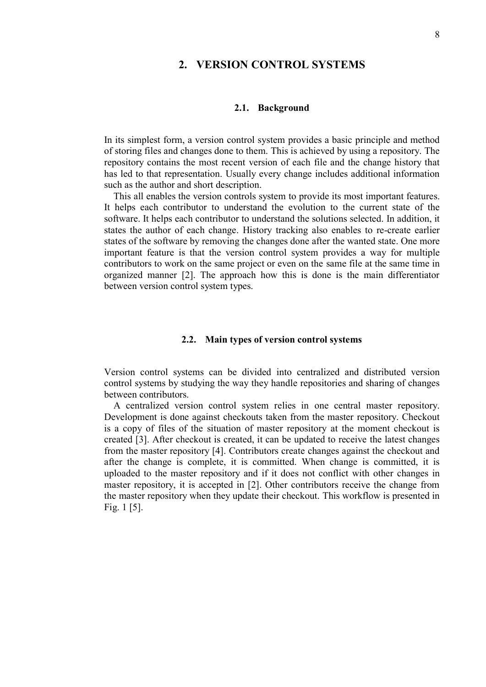## **2. VERSION CONTROL SYSTEMS**

#### **2.1. Background**

In its simplest form, a version control system provides a basic principle and method of storing files and changes done to them. This is achieved by using a repository. The repository contains the most recent version of each file and the change history that has led to that representation. Usually every change includes additional information such as the author and short description.

This all enables the version controls system to provide its most important features. It helps each contributor to understand the evolution to the current state of the software. It helps each contributor to understand the solutions selected. In addition, it states the author of each change. History tracking also enables to re-create earlier states of the software by removing the changes done after the wanted state. One more important feature is that the version control system provides a way for multiple contributors to work on the same project or even on the same file at the same time in organized manner [2]. The approach how this is done is the main differentiator between version control system types.

#### **2.2. Main types of version control systems**

Version control systems can be divided into centralized and distributed version control systems by studying the way they handle repositories and sharing of changes between contributors.

A centralized version control system relies in one central master repository. Development is done against checkouts taken from the master repository. Checkout is a copy of files of the situation of master repository at the moment checkout is created [3]. After checkout is created, it can be updated to receive the latest changes from the master repository [4]. Contributors create changes against the checkout and after the change is complete, it is committed. When change is committed, it is uploaded to the master repository and if it does not conflict with other changes in master repository, it is accepted in [2]. Other contributors receive the change from the master repository when they update their checkout. This workflow is presented in Fig. 1 [5].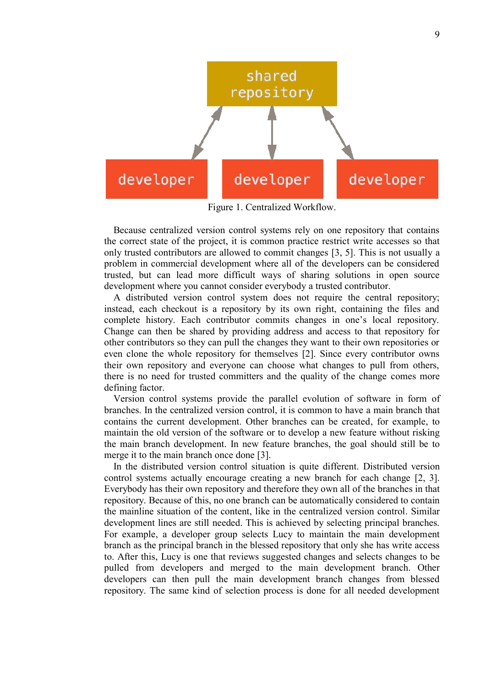

Figure 1. Centralized Workflow.

Because centralized version control systems rely on one repository that contains the correct state of the project, it is common practice restrict write accesses so that only trusted contributors are allowed to commit changes [3, 5]. This is not usually a problem in commercial development where all of the developers can be considered trusted, but can lead more difficult ways of sharing solutions in open source development where you cannot consider everybody a trusted contributor.

A distributed version control system does not require the central repository; instead, each checkout is a repository by its own right, containing the files and complete history. Each contributor commits changes in one's local repository. Change can then be shared by providing address and access to that repository for other contributors so they can pull the changes they want to their own repositories or even clone the whole repository for themselves [2]. Since every contributor owns their own repository and everyone can choose what changes to pull from others, there is no need for trusted committers and the quality of the change comes more defining factor.

Version control systems provide the parallel evolution of software in form of branches. In the centralized version control, it is common to have a main branch that contains the current development. Other branches can be created, for example, to maintain the old version of the software or to develop a new feature without risking the main branch development. In new feature branches, the goal should still be to merge it to the main branch once done [3].

In the distributed version control situation is quite different. Distributed version control systems actually encourage creating a new branch for each change [2, 3]. Everybody has their own repository and therefore they own all of the branches in that repository. Because of this, no one branch can be automatically considered to contain the mainline situation of the content, like in the centralized version control. Similar development lines are still needed. This is achieved by selecting principal branches. For example, a developer group selects Lucy to maintain the main development branch as the principal branch in the blessed repository that only she has write access to. After this, Lucy is one that reviews suggested changes and selects changes to be pulled from developers and merged to the main development branch. Other developers can then pull the main development branch changes from blessed repository. The same kind of selection process is done for all needed development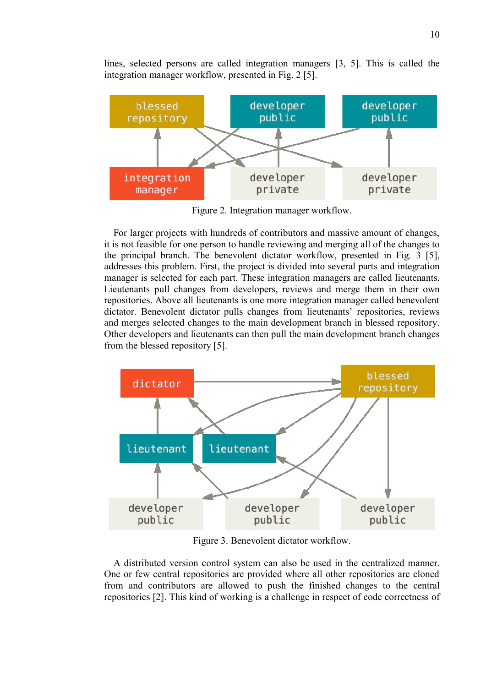lines, selected persons are called integration managers [3, 5]. This is called the integration manager workflow, presented in Fig. 2 [5].



Figure 2. Integration manager workflow.

For larger projects with hundreds of contributors and massive amount of changes, it is not feasible for one person to handle reviewing and merging all of the changes to the principal branch. The benevolent dictator workflow, presented in Fig. 3 [5], addresses this problem. First, the project is divided into several parts and integration manager is selected for each part. These integration managers are called lieutenants. Lieutenants pull changes from developers, reviews and merge them in their own repositories. Above all lieutenants is one more integration manager called benevolent dictator. Benevolent dictator pulls changes from lieutenants' repositories, reviews and merges selected changes to the main development branch in blessed repository. Other developers and lieutenants can then pull the main development branch changes from the blessed repository [5].



Figure 3. Benevolent dictator workflow.

A distributed version control system can also be used in the centralized manner. One or few central repositories are provided where all other repositories are cloned from and contributors are allowed to push the finished changes to the central repositories [2]. This kind of working is a challenge in respect of code correctness of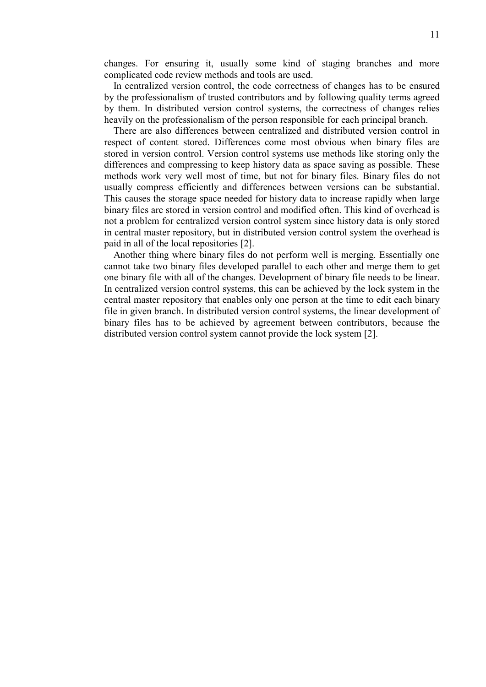changes. For ensuring it, usually some kind of staging branches and more complicated code review methods and tools are used.

In centralized version control, the code correctness of changes has to be ensured by the professionalism of trusted contributors and by following quality terms agreed by them. In distributed version control systems, the correctness of changes relies heavily on the professionalism of the person responsible for each principal branch.

There are also differences between centralized and distributed version control in respect of content stored. Differences come most obvious when binary files are stored in version control. Version control systems use methods like storing only the differences and compressing to keep history data as space saving as possible. These methods work very well most of time, but not for binary files. Binary files do not usually compress efficiently and differences between versions can be substantial. This causes the storage space needed for history data to increase rapidly when large binary files are stored in version control and modified often. This kind of overhead is not a problem for centralized version control system since history data is only stored in central master repository, but in distributed version control system the overhead is paid in all of the local repositories [2].

Another thing where binary files do not perform well is merging. Essentially one cannot take two binary files developed parallel to each other and merge them to get one binary file with all of the changes. Development of binary file needs to be linear. In centralized version control systems, this can be achieved by the lock system in the central master repository that enables only one person at the time to edit each binary file in given branch. In distributed version control systems, the linear development of binary files has to be achieved by agreement between contributors, because the distributed version control system cannot provide the lock system [2].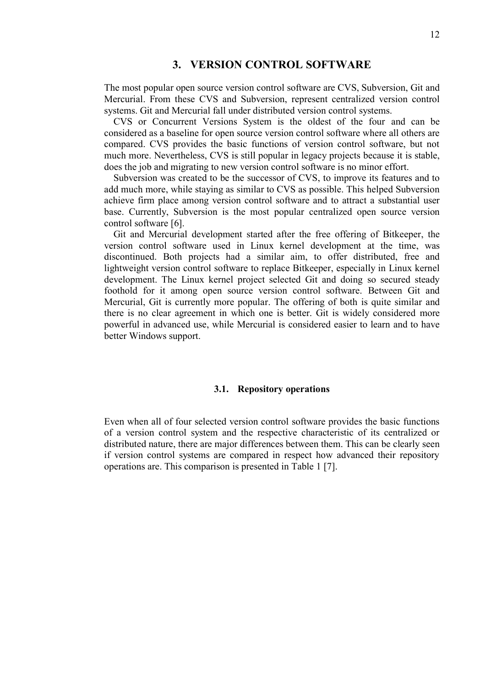## **3. VERSION CONTROL SOFTWARE**

The most popular open source version control software are CVS, Subversion, Git and Mercurial. From these CVS and Subversion, represent centralized version control systems. Git and Mercurial fall under distributed version control systems.

CVS or Concurrent Versions System is the oldest of the four and can be considered as a baseline for open source version control software where all others are compared. CVS provides the basic functions of version control software, but not much more. Nevertheless, CVS is still popular in legacy projects because it is stable, does the job and migrating to new version control software is no minor effort.

Subversion was created to be the successor of CVS, to improve its features and to add much more, while staying as similar to CVS as possible. This helped Subversion achieve firm place among version control software and to attract a substantial user base. Currently, Subversion is the most popular centralized open source version control software [6].

Git and Mercurial development started after the free offering of Bitkeeper, the version control software used in Linux kernel development at the time, was discontinued. Both projects had a similar aim, to offer distributed, free and lightweight version control software to replace Bitkeeper, especially in Linux kernel development. The Linux kernel project selected Git and doing so secured steady foothold for it among open source version control software. Between Git and Mercurial, Git is currently more popular. The offering of both is quite similar and there is no clear agreement in which one is better. Git is widely considered more powerful in advanced use, while Mercurial is considered easier to learn and to have better Windows support.

#### **3.1. Repository operations**

Even when all of four selected version control software provides the basic functions of a version control system and the respective characteristic of its centralized or distributed nature, there are major differences between them. This can be clearly seen if version control systems are compared in respect how advanced their repository operations are. This comparison is presented in Table 1 [7].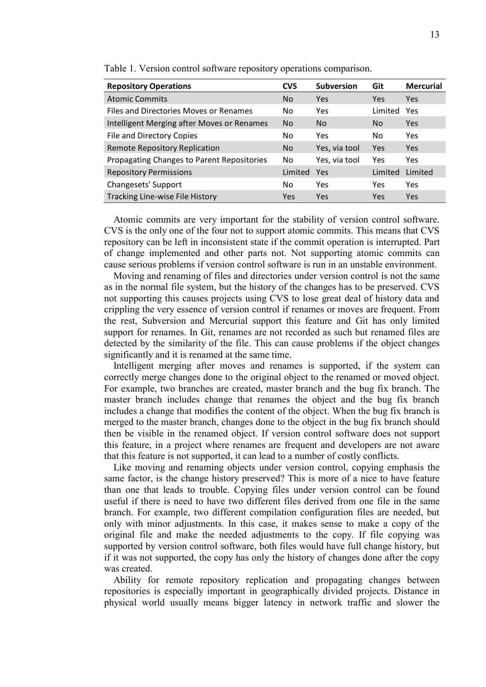| <b>Repository Operations</b>               | <b>CVS</b>     | <b>Subversion</b> | Git     | <b>Mercurial</b> |
|--------------------------------------------|----------------|-------------------|---------|------------------|
| <b>Atomic Commits</b>                      | N <sub>o</sub> | Yes               | Yes     | <b>Yes</b>       |
| Files and Directories Moves or Renames     | No             | Yes.              | Limited | Yes              |
| Intelligent Merging after Moves or Renames | N <sub>o</sub> | N <sub>o</sub>    | No      | <b>Yes</b>       |
| <b>File and Directory Copies</b>           | No             | Yes.              | No      | Yes              |
| <b>Remote Repository Replication</b>       | <b>No</b>      | Yes, via tool     | Yes     | <b>Yes</b>       |
| Propagating Changes to Parent Repositories | No             | Yes, via tool     | Yes     | Yes              |
| <b>Repository Permissions</b>              | Limited        | Yes               | Limited | Limited          |
| Changesets' Support                        | No.            | <b>Yes</b>        | Yes     | Yes              |
| Tracking Line-wise File History            | <b>Yes</b>     | Yes               | Yes     | <b>Yes</b>       |

Table 1. Version control software repository operations comparison.

Atomic commits are very important for the stability of version control software. CVS is the only one of the four not to support atomic commits. This means that CVS repository can be left in inconsistent state if the commit operation is interrupted. Part of change implemented and other parts not. Not supporting atomic commits can cause serious problems if version control software is run in an unstable environment.

Moving and renaming of files and directories under version control is not the same as in the normal file system, but the history of the changes has to be preserved. CVS not supporting this causes projects using CVS to lose great deal of history data and crippling the very essence of version control if renames or moves are frequent. From the rest, Subversion and Mercurial support this feature and Git has only limited support for renames. In Git, renames are not recorded as such but renamed files are detected by the similarity of the file. This can cause problems if the object changes significantly and it is renamed at the same time.

Intelligent merging after moves and renames is supported, if the system can correctly merge changes done to the original object to the renamed or moved object. For example, two branches are created, master branch and the bug fix branch. The master branch includes change that renames the object and the bug fix branch includes a change that modifies the content of the object. When the bug fix branch is merged to the master branch, changes done to the object in the bug fix branch should then be visible in the renamed object. If version control software does not support this feature, in a project where renames are frequent and developers are not aware that this feature is not supported, it can lead to a number of costly conflicts.

Like moving and renaming objects under version control, copying emphasis the same factor, is the change history preserved? This is more of a nice to have feature than one that leads to trouble. Copying files under version control can be found useful if there is need to have two different files derived from one file in the same branch. For example, two different compilation configuration files are needed, but only with minor adjustments. In this case, it makes sense to make a copy of the original file and make the needed adjustments to the copy. If file copying was supported by version control software, both files would have full change history, but if it was not supported, the copy has only the history of changes done after the copy was created.

Ability for remote repository replication and propagating changes between repositories is especially important in geographically divided projects. Distance in physical world usually means bigger latency in network traffic and slower the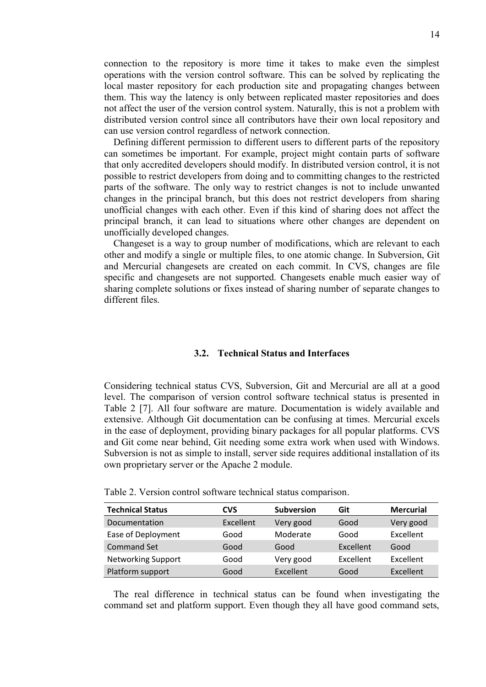connection to the repository is more time it takes to make even the simplest operations with the version control software. This can be solved by replicating the local master repository for each production site and propagating changes between them. This way the latency is only between replicated master repositories and does not affect the user of the version control system. Naturally, this is not a problem with distributed version control since all contributors have their own local repository and can use version control regardless of network connection.

Defining different permission to different users to different parts of the repository can sometimes be important. For example, project might contain parts of software that only accredited developers should modify. In distributed version control, it is not possible to restrict developers from doing and to committing changes to the restricted parts of the software. The only way to restrict changes is not to include unwanted changes in the principal branch, but this does not restrict developers from sharing unofficial changes with each other. Even if this kind of sharing does not affect the principal branch, it can lead to situations where other changes are dependent on unofficially developed changes.

Changeset is a way to group number of modifications, which are relevant to each other and modify a single or multiple files, to one atomic change. In Subversion, Git and Mercurial changesets are created on each commit. In CVS, changes are file specific and changesets are not supported. Changesets enable much easier way of sharing complete solutions or fixes instead of sharing number of separate changes to different files.

## **3.2. Technical Status and Interfaces**

Considering technical status CVS, Subversion, Git and Mercurial are all at a good level. The comparison of version control software technical status is presented in Table 2 [7]. All four software are mature. Documentation is widely available and extensive. Although Git documentation can be confusing at times. Mercurial excels in the ease of deployment, providing binary packages for all popular platforms. CVS and Git come near behind, Git needing some extra work when used with Windows. Subversion is not as simple to install, server side requires additional installation of its own proprietary server or the Apache 2 module.

| <b>Technical Status</b>   | CVS              | <b>Subversion</b> | Git              | <b>Mercurial</b> |
|---------------------------|------------------|-------------------|------------------|------------------|
| Documentation             | <b>Excellent</b> | Very good         | Good             | Very good        |
| Ease of Deployment        | Good             | Moderate          | Good             | Excellent        |
| <b>Command Set</b>        | Good             | Good              | Excellent        | Good             |
| <b>Networking Support</b> | Good             | Very good         | <b>Excellent</b> | Excellent        |
| Platform support          | Good             | Excellent         | Good             | Excellent        |

Table 2. Version control software technical status comparison.

The real difference in technical status can be found when investigating the command set and platform support. Even though they all have good command sets,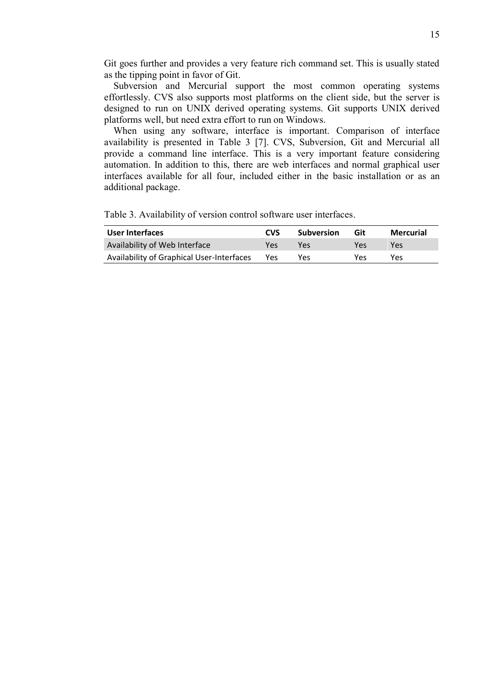Git goes further and provides a very feature rich command set. This is usually stated as the tipping point in favor of Git.

Subversion and Mercurial support the most common operating systems effortlessly. CVS also supports most platforms on the client side, but the server is designed to run on UNIX derived operating systems. Git supports UNIX derived platforms well, but need extra effort to run on Windows.

When using any software, interface is important. Comparison of interface availability is presented in Table 3 [7]. CVS, Subversion, Git and Mercurial all provide a command line interface. This is a very important feature considering automation. In addition to this, there are web interfaces and normal graphical user interfaces available for all four, included either in the basic installation or as an additional package.

Table 3. Availability of version control software user interfaces.

| User Interfaces                           | <b>CVS</b> | <b>Subversion</b> | Git | Mercurial |
|-------------------------------------------|------------|-------------------|-----|-----------|
| Availability of Web Interface             | Yes        | Υρς               | Yes | Yes       |
| Availability of Graphical User-Interfaces | Yes        | Yes               | Yes | Yes       |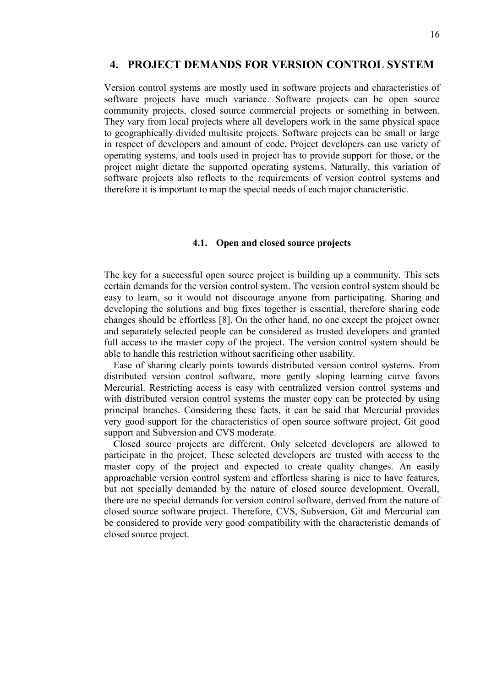#### **4. PROJECT DEMANDS FOR VERSION CONTROL SYSTEM**

Version control systems are mostly used in software projects and characteristics of software projects have much variance. Software projects can be open source community projects, closed source commercial projects or something in between. They vary from local projects where all developers work in the same physical space to geographically divided multisite projects. Software projects can be small or large in respect of developers and amount of code. Project developers can use variety of operating systems, and tools used in project has to provide support for those, or the project might dictate the supported operating systems. Naturally, this variation of software projects also reflects to the requirements of version control systems and therefore it is important to map the special needs of each major characteristic.

#### **4.1. Open and closed source projects**

The key for a successful open source project is building up a community. This sets certain demands for the version control system. The version control system should be easy to learn, so it would not discourage anyone from participating. Sharing and developing the solutions and bug fixes together is essential, therefore sharing code changes should be effortless [8]. On the other hand, no one except the project owner and separately selected people can be considered as trusted developers and granted full access to the master copy of the project. The version control system should be able to handle this restriction without sacrificing other usability.

Ease of sharing clearly points towards distributed version control systems. From distributed version control software, more gently sloping learning curve favors Mercurial. Restricting access is easy with centralized version control systems and with distributed version control systems the master copy can be protected by using principal branches. Considering these facts, it can be said that Mercurial provides very good support for the characteristics of open source software project, Git good support and Subversion and CVS moderate.

Closed source projects are different. Only selected developers are allowed to participate in the project. These selected developers are trusted with access to the master copy of the project and expected to create quality changes. An easily approachable version control system and effortless sharing is nice to have features, but not specially demanded by the nature of closed source development. Overall, there are no special demands for version control software, derived from the nature of closed source software project. Therefore, CVS, Subversion, Git and Mercurial can be considered to provide very good compatibility with the characteristic demands of closed source project.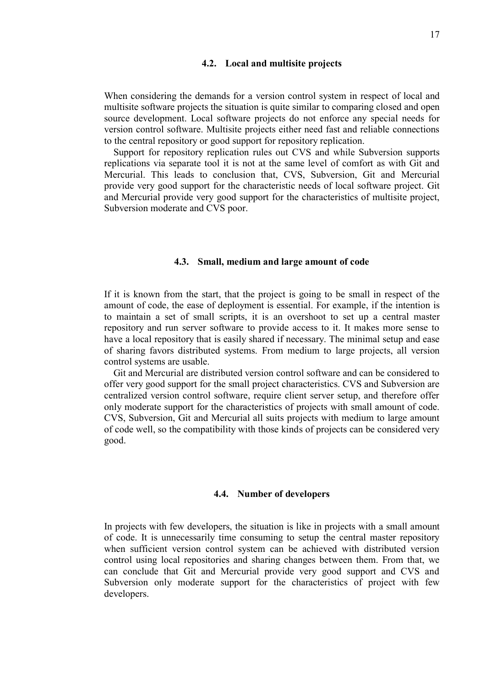#### **4.2. Local and multisite projects**

When considering the demands for a version control system in respect of local and multisite software projects the situation is quite similar to comparing closed and open source development. Local software projects do not enforce any special needs for version control software. Multisite projects either need fast and reliable connections to the central repository or good support for repository replication.

Support for repository replication rules out CVS and while Subversion supports replications via separate tool it is not at the same level of comfort as with Git and Mercurial. This leads to conclusion that, CVS, Subversion, Git and Mercurial provide very good support for the characteristic needs of local software project. Git and Mercurial provide very good support for the characteristics of multisite project, Subversion moderate and CVS poor.

#### **4.3. Small, medium and large amount of code**

If it is known from the start, that the project is going to be small in respect of the amount of code, the ease of deployment is essential. For example, if the intention is to maintain a set of small scripts, it is an overshoot to set up a central master repository and run server software to provide access to it. It makes more sense to have a local repository that is easily shared if necessary. The minimal setup and ease of sharing favors distributed systems. From medium to large projects, all version control systems are usable.

Git and Mercurial are distributed version control software and can be considered to offer very good support for the small project characteristics. CVS and Subversion are centralized version control software, require client server setup, and therefore offer only moderate support for the characteristics of projects with small amount of code. CVS, Subversion, Git and Mercurial all suits projects with medium to large amount of code well, so the compatibility with those kinds of projects can be considered very good.

#### **4.4. Number of developers**

In projects with few developers, the situation is like in projects with a small amount of code. It is unnecessarily time consuming to setup the central master repository when sufficient version control system can be achieved with distributed version control using local repositories and sharing changes between them. From that, we can conclude that Git and Mercurial provide very good support and CVS and Subversion only moderate support for the characteristics of project with few developers.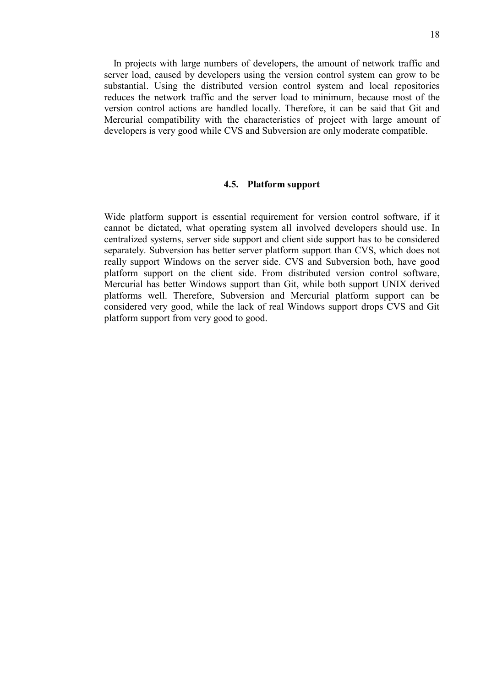In projects with large numbers of developers, the amount of network traffic and server load, caused by developers using the version control system can grow to be substantial. Using the distributed version control system and local repositories reduces the network traffic and the server load to minimum, because most of the version control actions are handled locally. Therefore, it can be said that Git and Mercurial compatibility with the characteristics of project with large amount of developers is very good while CVS and Subversion are only moderate compatible.

#### **4.5. Platform support**

Wide platform support is essential requirement for version control software, if it cannot be dictated, what operating system all involved developers should use. In centralized systems, server side support and client side support has to be considered separately. Subversion has better server platform support than CVS, which does not really support Windows on the server side. CVS and Subversion both, have good platform support on the client side. From distributed version control software, Mercurial has better Windows support than Git, while both support UNIX derived platforms well. Therefore, Subversion and Mercurial platform support can be considered very good, while the lack of real Windows support drops CVS and Git platform support from very good to good.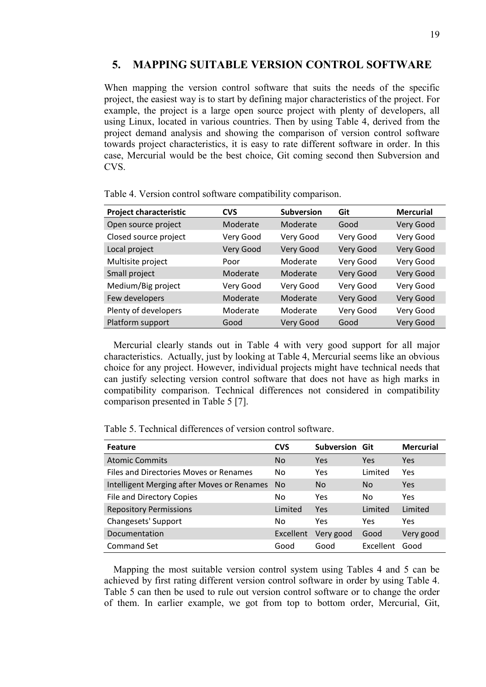## **5. MAPPING SUITABLE VERSION CONTROL SOFTWARE**

When mapping the version control software that suits the needs of the specific project, the easiest way is to start by defining major characteristics of the project. For example, the project is a large open source project with plenty of developers, all using Linux, located in various countries. Then by using Table 4, derived from the project demand analysis and showing the comparison of version control software towards project characteristics, it is easy to rate different software in order. In this case, Mercurial would be the best choice, Git coming second then Subversion and CVS.

| <b>Project characteristic</b> | <b>CVS</b> | <b>Subversion</b> | Git       | <b>Mercurial</b> |
|-------------------------------|------------|-------------------|-----------|------------------|
| Open source project           | Moderate   | Moderate          | Good      | Very Good        |
| Closed source project         | Very Good  | Very Good         | Very Good | Very Good        |
| Local project                 | Very Good  | <b>Very Good</b>  | Very Good | Very Good        |
| Multisite project             | Poor       | Moderate          | Very Good | Very Good        |
| Small project                 | Moderate   | Moderate          | Very Good | Very Good        |
| Medium/Big project            | Very Good  | Very Good         | Very Good | Very Good        |
| Few developers                | Moderate   | Moderate          | Very Good | Very Good        |
| Plenty of developers          | Moderate   | Moderate          | Very Good | Very Good        |
| Platform support              | Good       | Very Good         | Good      | Very Good        |

Table 4. Version control software compatibility comparison.

Mercurial clearly stands out in Table 4 with very good support for all major characteristics. Actually, just by looking at Table 4, Mercurial seems like an obvious choice for any project. However, individual projects might have technical needs that can justify selecting version control software that does not have as high marks in compatibility comparison. Technical differences not considered in compatibility comparison presented in Table 5 [7].

Table 5. Technical differences of version control software.

| <b>Feature</b>                             | <b>CVS</b>     | Subversion Git |                | <b>Mercurial</b> |
|--------------------------------------------|----------------|----------------|----------------|------------------|
| <b>Atomic Commits</b>                      | N <sub>0</sub> | Yes            | Yes            | <b>Yes</b>       |
| Files and Directories Moves or Renames     | No             | Yes            | Limited        | Yes              |
| Intelligent Merging after Moves or Renames | <b>No</b>      | No.            | N <sub>0</sub> | <b>Yes</b>       |
| <b>File and Directory Copies</b>           | N <sub>0</sub> | Yes            | No             | Yes              |
| <b>Repository Permissions</b>              | Limited        | Yes            | Limited        | Limited          |
| Changesets' Support                        | No             | Yes            | Yes            | Yes              |
| Documentation                              | Excellent      | Very good      | Good           | Very good        |
| Command Set                                | Good           | Good           | Excellent      | Good             |

Mapping the most suitable version control system using Tables 4 and 5 can be achieved by first rating different version control software in order by using Table 4. Table 5 can then be used to rule out version control software or to change the order of them. In earlier example, we got from top to bottom order, Mercurial, Git,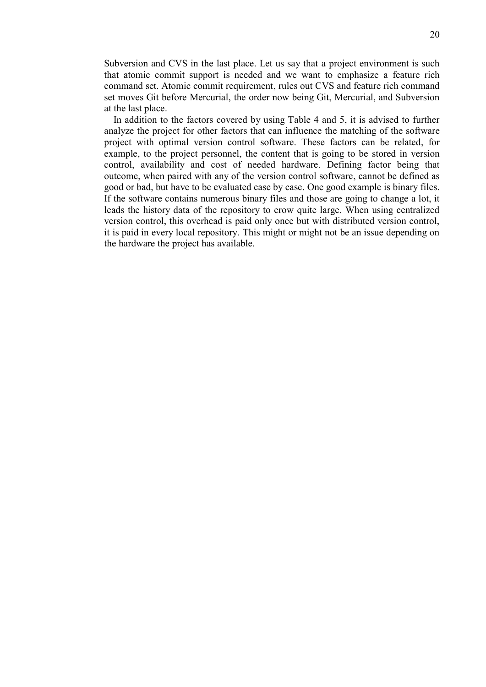Subversion and CVS in the last place. Let us say that a project environment is such that atomic commit support is needed and we want to emphasize a feature rich command set. Atomic commit requirement, rules out CVS and feature rich command set moves Git before Mercurial, the order now being Git, Mercurial, and Subversion at the last place.

In addition to the factors covered by using Table 4 and 5, it is advised to further analyze the project for other factors that can influence the matching of the software project with optimal version control software. These factors can be related, for example, to the project personnel, the content that is going to be stored in version control, availability and cost of needed hardware. Defining factor being that outcome, when paired with any of the version control software, cannot be defined as good or bad, but have to be evaluated case by case. One good example is binary files. If the software contains numerous binary files and those are going to change a lot, it leads the history data of the repository to crow quite large. When using centralized version control, this overhead is paid only once but with distributed version control, it is paid in every local repository. This might or might not be an issue depending on the hardware the project has available.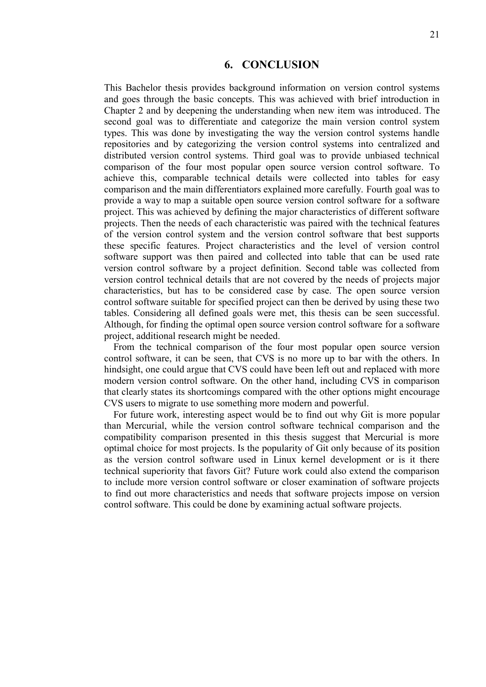### **6. CONCLUSION**

This Bachelor thesis provides background information on version control systems and goes through the basic concepts. This was achieved with brief introduction in Chapter 2 and by deepening the understanding when new item was introduced. The second goal was to differentiate and categorize the main version control system types. This was done by investigating the way the version control systems handle repositories and by categorizing the version control systems into centralized and distributed version control systems. Third goal was to provide unbiased technical comparison of the four most popular open source version control software. To achieve this, comparable technical details were collected into tables for easy comparison and the main differentiators explained more carefully. Fourth goal was to provide a way to map a suitable open source version control software for a software project. This was achieved by defining the major characteristics of different software projects. Then the needs of each characteristic was paired with the technical features of the version control system and the version control software that best supports these specific features. Project characteristics and the level of version control software support was then paired and collected into table that can be used rate version control software by a project definition. Second table was collected from version control technical details that are not covered by the needs of projects major characteristics, but has to be considered case by case. The open source version control software suitable for specified project can then be derived by using these two tables. Considering all defined goals were met, this thesis can be seen successful. Although, for finding the optimal open source version control software for a software project, additional research might be needed.

From the technical comparison of the four most popular open source version control software, it can be seen, that CVS is no more up to bar with the others. In hindsight, one could argue that CVS could have been left out and replaced with more modern version control software. On the other hand, including CVS in comparison that clearly states its shortcomings compared with the other options might encourage CVS users to migrate to use something more modern and powerful.

For future work, interesting aspect would be to find out why Git is more popular than Mercurial, while the version control software technical comparison and the compatibility comparison presented in this thesis suggest that Mercurial is more optimal choice for most projects. Is the popularity of Git only because of its position as the version control software used in Linux kernel development or is it there technical superiority that favors Git? Future work could also extend the comparison to include more version control software or closer examination of software projects to find out more characteristics and needs that software projects impose on version control software. This could be done by examining actual software projects.